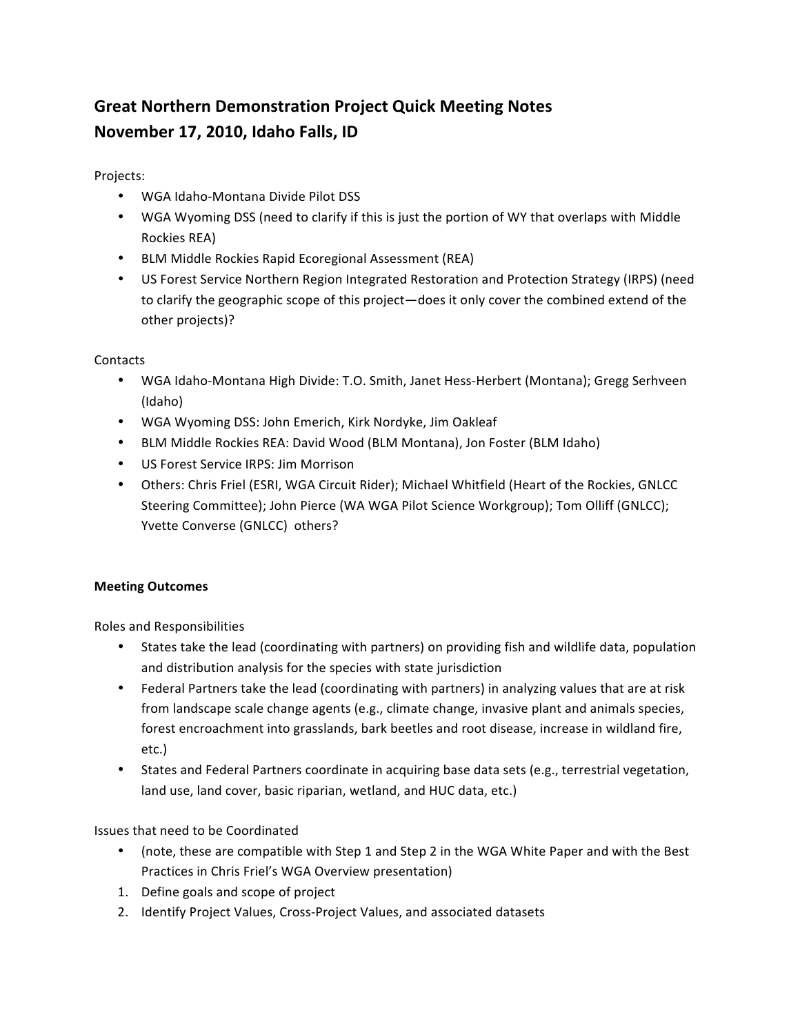## **Great&Northern&Demonstration&Project Quick&Meeting&Notes** November 17, 2010, Idaho Falls, ID

Projects:

- WGA Idaho-Montana Divide Pilot DSS
- WGA Wyoming DSS (need to clarify if this is just the portion of WY that overlaps with Middle Rockies REA)
- BLM Middle Rockies Rapid Ecoregional Assessment (REA)
- US Forest Service Northern Region Integrated Restoration and Protection Strategy (IRPS) (need to clarify the geographic scope of this project—does it only cover the combined extend of the other projects)?

## **Contacts**

- WGA Idaho-Montana High Divide: T.O. Smith, Janet Hess-Herbert (Montana); Gregg Serhveen (Idaho)
- WGA Wyoming DSS: John Emerich, Kirk Nordyke, Jim Oakleaf
- BLM Middle Rockies REA: David Wood (BLM Montana), Jon Foster (BLM Idaho)
- US Forest Service IRPS: Jim Morrison
- Others: Chris Friel (ESRI, WGA Circuit Rider); Michael Whitfield (Heart of the Rockies, GNLCC Steering Committee); John Pierce (WA WGA Pilot Science Workgroup); Tom Olliff (GNLCC); Yvette Converse (GNLCC) others?

## **Meeting Outcomes**

Roles and Responsibilities

- States take the lead (coordinating with partners) on providing fish and wildlife data, population and distribution analysis for the species with state jurisdiction
- Federal Partners take the lead (coordinating with partners) in analyzing values that are at risk from landscape scale change agents (e.g., climate change, invasive plant and animals species, forest encroachment into grasslands, bark beetles and root disease, increase in wildland fire, etc.)
- States and Federal Partners coordinate in acquiring base data sets (e.g., terrestrial vegetation, land use, land cover, basic riparian, wetland, and HUC data, etc.)

## Issues that need to be Coordinated

- (note, these are compatible with Step 1 and Step 2 in the WGA White Paper and with the Best Practices in Chris Friel's WGA Overview presentation)
- 1. Define goals and scope of project
- 2. Identify Project Values, Cross-Project Values, and associated datasets